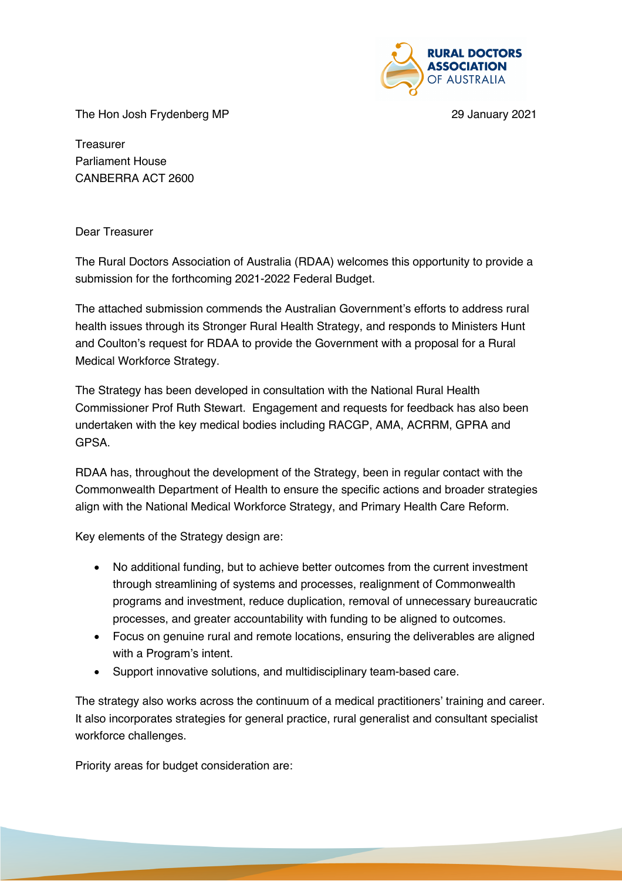

The Hon Josh Frydenberg MP 29 January 2021

**Treasurer** Parliament House CANBERRA ACT 2600

## Dear Treasurer

The Rural Doctors Association of Australia (RDAA) welcomes this opportunity to provide a submission for the forthcoming 2021-2022 Federal Budget.

The attached submission commends the Australian Government's efforts to address rural health issues through its Stronger Rural Health Strategy, and responds to Ministers Hunt and Coulton's request for RDAA to provide the Government with a proposal for a Rural Medical Workforce Strategy.

The Strategy has been developed in consultation with the National Rural Health Commissioner Prof Ruth Stewart. Engagement and requests for feedback has also been undertaken with the key medical bodies including RACGP, AMA, ACRRM, GPRA and GPSA.

RDAA has, throughout the development of the Strategy, been in regular contact with the Commonwealth Department of Health to ensure the specific actions and broader strategies align with the National Medical Workforce Strategy, and Primary Health Care Reform.

Key elements of the Strategy design are:

- No additional funding, but to achieve better outcomes from the current investment through streamlining of systems and processes, realignment of Commonwealth programs and investment, reduce duplication, removal of unnecessary bureaucratic processes, and greater accountability with funding to be aligned to outcomes.
- Focus on genuine rural and remote locations, ensuring the deliverables are aligned with a Program's intent.
- Support innovative solutions, and multidisciplinary team-based care.

The strategy also works across the continuum of a medical practitioners' training and career. It also incorporates strategies for general practice, rural generalist and consultant specialist workforce challenges.

Priority areas for budget consideration are: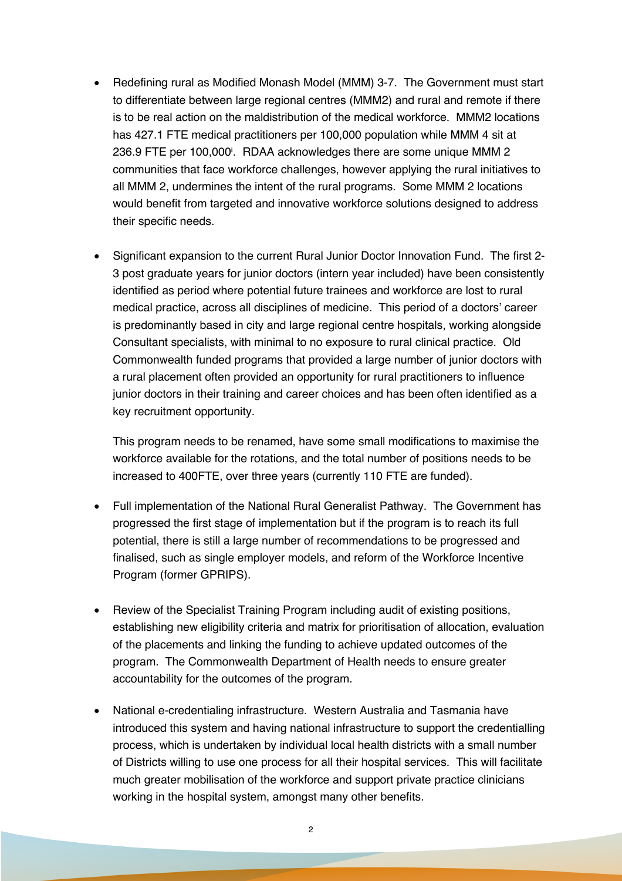- Redefining rural as Modified Monash Model (MMM) 3-7. The Government must start to differentiate between large regional centres (MMM2) and rural and remote if there is to be real action on the maldistribution of the medical workforce. MMM2 locations has 427.1 FTE medical practitioners per 100,000 population while MMM 4 sit at 236.9 FTE per 100,000i . RDAA acknowledges there are some unique MMM 2 communities that face workforce challenges, however applying the rural initiatives to all MMM 2, undermines the intent of the rural programs. Some MMM 2 locations would benefit from targeted and innovative workforce solutions designed to address their specific needs.
- Significant expansion to the current Rural Junior Doctor Innovation Fund. The first 2- 3 post graduate years for junior doctors (intern year included) have been consistently identified as period where potential future trainees and workforce are lost to rural medical practice, across all disciplines of medicine. This period of a doctors' career is predominantly based in city and large regional centre hospitals, working alongside Consultant specialists, with minimal to no exposure to rural clinical practice. Old Commonwealth funded programs that provided a large number of junior doctors with a rural placement often provided an opportunity for rural practitioners to influence junior doctors in their training and career choices and has been often identified as a key recruitment opportunity.

This program needs to be renamed, have some small modifications to maximise the workforce available for the rotations, and the total number of positions needs to be increased to 400FTE, over three years (currently 110 FTE are funded).

- Full implementation of the National Rural Generalist Pathway. The Government has progressed the first stage of implementation but if the program is to reach its full potential, there is still a large number of recommendations to be progressed and finalised, such as single employer models, and reform of the Workforce Incentive Program (former GPRIPS).
- Review of the Specialist Training Program including audit of existing positions, establishing new eligibility criteria and matrix for prioritisation of allocation, evaluation of the placements and linking the funding to achieve updated outcomes of the program. The Commonwealth Department of Health needs to ensure greater accountability for the outcomes of the program.
- National e-credentialing infrastructure. Western Australia and Tasmania have introduced this system and having national infrastructure to support the credentialling process, which is undertaken by individual local health districts with a small number of Districts willing to use one process for all their hospital services. This will facilitate much greater mobilisation of the workforce and support private practice clinicians working in the hospital system, amongst many other benefits.

2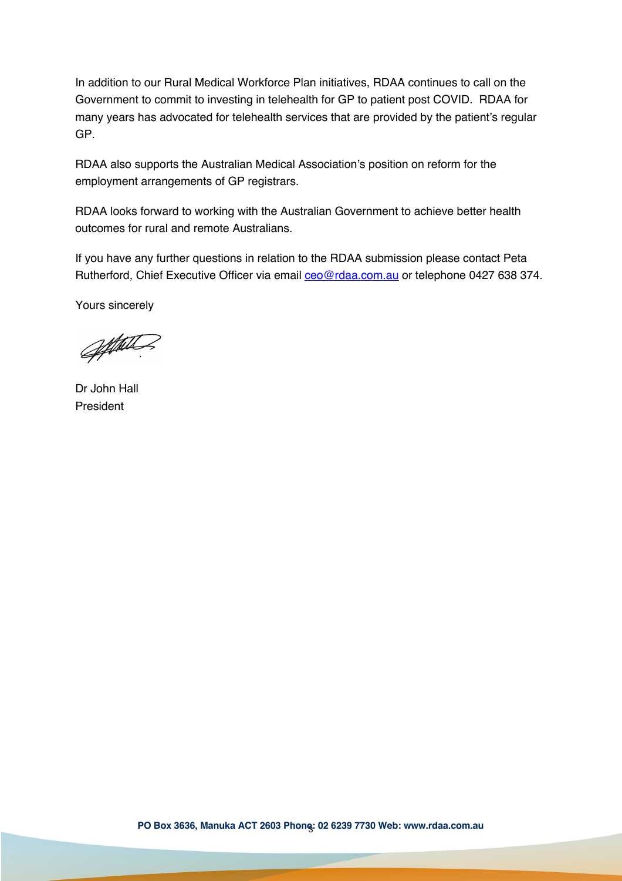In addition to our Rural Medical Workforce Plan initiatives, RDAA continues to call on the Government to commit to investing in telehealth for GP to patient post COVID. RDAA for many years has advocated for telehealth services that are provided by the patient's regular GP.

RDAA also supports the Australian Medical Association's position on reform for the employment arrangements of GP registrars.

RDAA looks forward to working with the Australian Government to achieve better health outcomes for rural and remote Australians.

If you have any further questions in relation to the RDAA submission please contact Peta Rutherford, Chief Executive Officer via email ceo@rdaa.com.au or telephone 0427 638 374.

Yours sincerely

appeter

Dr John Hall President